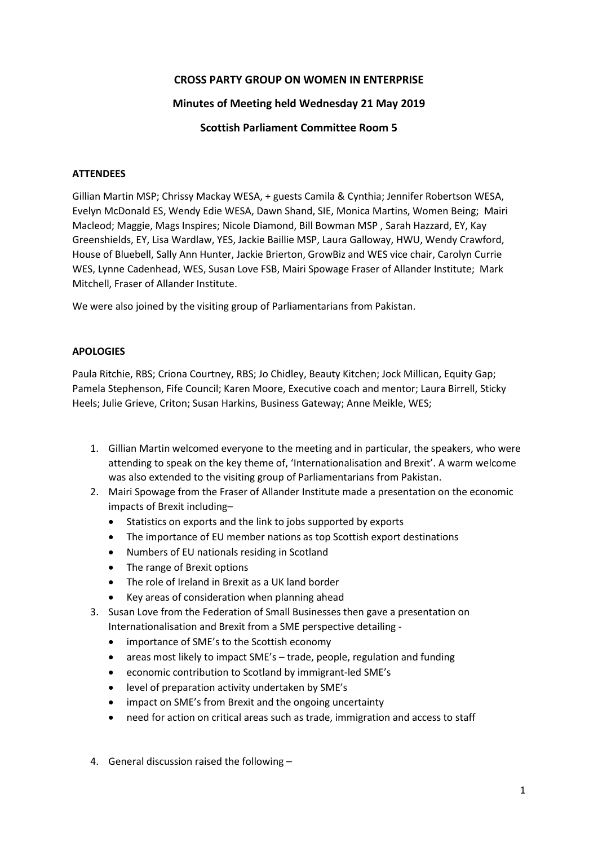# **CROSS PARTY GROUP ON WOMEN IN ENTERPRISE**

## **Minutes of Meeting held Wednesday 21 May 2019**

## **Scottish Parliament Committee Room 5**

#### **ATTENDEES**

Gillian Martin MSP; Chrissy Mackay WESA, + guests Camila & Cynthia; Jennifer Robertson WESA, Evelyn McDonald ES, Wendy Edie WESA, Dawn Shand, SIE, Monica Martins, Women Being; Mairi Macleod; Maggie, Mags Inspires; Nicole Diamond, Bill Bowman MSP , Sarah Hazzard, EY, Kay Greenshields, EY, Lisa Wardlaw, YES, Jackie Baillie MSP, Laura Galloway, HWU, Wendy Crawford, House of Bluebell, Sally Ann Hunter, Jackie Brierton, GrowBiz and WES vice chair, Carolyn Currie WES, Lynne Cadenhead, WES, Susan Love FSB, Mairi Spowage Fraser of Allander Institute; Mark Mitchell, Fraser of Allander Institute.

We were also joined by the visiting group of Parliamentarians from Pakistan.

#### **APOLOGIES**

Paula Ritchie, RBS; Criona Courtney, RBS; Jo Chidley, Beauty Kitchen; Jock Millican, Equity Gap; Pamela Stephenson, Fife Council; Karen Moore, Executive coach and mentor; Laura Birrell, Sticky Heels; Julie Grieve, Criton; Susan Harkins, Business Gateway; Anne Meikle, WES;

- 1. Gillian Martin welcomed everyone to the meeting and in particular, the speakers, who were attending to speak on the key theme of, 'Internationalisation and Brexit'. A warm welcome was also extended to the visiting group of Parliamentarians from Pakistan.
- 2. Mairi Spowage from the Fraser of Allander Institute made a presentation on the economic impacts of Brexit including–
	- Statistics on exports and the link to jobs supported by exports
	- The importance of EU member nations as top Scottish export destinations
	- Numbers of EU nationals residing in Scotland
	- The range of Brexit options
	- The role of Ireland in Brexit as a UK land border
	- Key areas of consideration when planning ahead
- 3. Susan Love from the Federation of Small Businesses then gave a presentation on Internationalisation and Brexit from a SME perspective detailing -
	- importance of SME's to the Scottish economy
	- areas most likely to impact SME's trade, people, regulation and funding
	- economic contribution to Scotland by immigrant-led SME's
	- level of preparation activity undertaken by SME's
	- impact on SME's from Brexit and the ongoing uncertainty
	- need for action on critical areas such as trade, immigration and access to staff
- 4. General discussion raised the following –